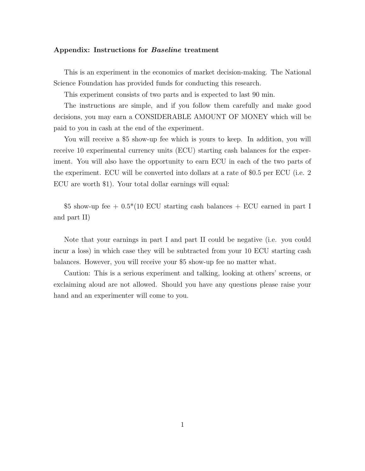#### **Appendix: Instructions for** *Baseline* **treatment**

This is an experiment in the economics of market decision-making. The National Science Foundation has provided funds for conducting this research.

This experiment consists of two parts and is expected to last 90 min.

The instructions are simple, and if you follow them carefully and make good decisions, you may earn a CONSIDERABLE AMOUNT OF MONEY which will be paid to you in cash at the end of the experiment.

You will receive a \$5 show-up fee which is yours to keep. In addition, you will receive 10 experimental currency units (ECU) starting cash balances for the experiment. You will also have the opportunity to earn ECU in each of the two parts of the experiment. ECU will be converted into dollars at a rate of \$0.5 per ECU (i.e. 2 ECU are worth \$1). Your total dollar earnings will equal:

\$5 show-up fee  $+ 0.5*(10 \text{ ECU starting cash balances} + \text{ECU earned in part I})$ and part II)

Note that your earnings in part I and part II could be negative (i.e. you could incur a loss) in which case they will be subtracted from your 10 ECU starting cash balances. However, you will receive your \$5 show-up fee no matter what.

Caution: This is a serious experiment and talking, looking at others' screens, or exclaiming aloud are not allowed. Should you have any questions please raise your hand and an experimenter will come to you.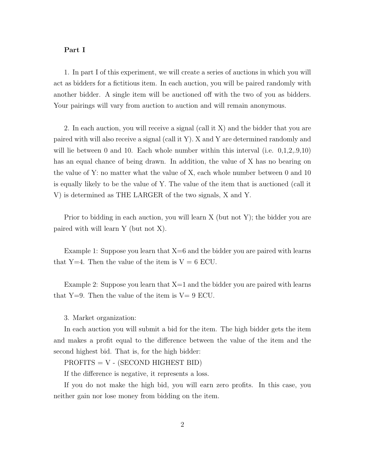### **Part I**

1. In part I of this experiment, we will create a series of auctions in which you will act as bidders for a fictitious item. In each auction, you will be paired randomly with another bidder. A single item will be auctioned off with the two of you as bidders. Your pairings will vary from auction to auction and will remain anonymous.

2. In each auction, you will receive a signal (call it X) and the bidder that you are paired with will also receive a signal (call it Y). X and Y are determined randomly and will lie between 0 and 10. Each whole number within this interval (i.e.  $0,1,2,0,10$ ) has an equal chance of being drawn. In addition, the value of X has no bearing on the value of Y: no matter what the value of X, each whole number between 0 and 10 is equally likely to be the value of Y. The value of the item that is auctioned (call it V) is determined as THE LARGER of the two signals, X and Y.

Prior to bidding in each auction, you will learn X (but not Y); the bidder you are paired with will learn Y (but not X).

Example 1: Suppose you learn that  $X=6$  and the bidder you are paired with learns that Y=4. Then the value of the item is  $V = 6$  ECU.

Example 2: Suppose you learn that  $X=1$  and the bidder you are paired with learns that  $Y=9$ . Then the value of the item is  $V=9$  ECU.

### 3. Market organization:

In each auction you will submit a bid for the item. The high bidder gets the item and makes a profit equal to the difference between the value of the item and the second highest bid. That is, for the high bidder:

 $PROFITS = V - (SECOND HIGHEST BID)$ 

If the difference is negative, it represents a loss.

If you do not make the high bid, you will earn zero profits. In this case, you neither gain nor lose money from bidding on the item.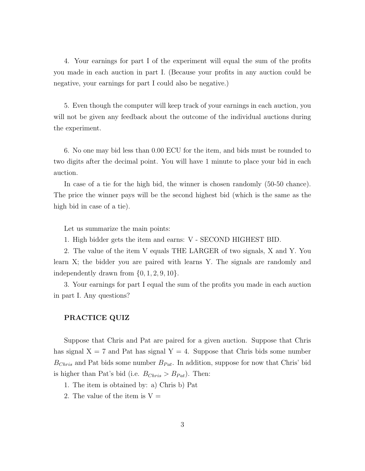4. Your earnings for part I of the experiment will equal the sum of the profits you made in each auction in part I. (Because your profits in any auction could be negative, your earnings for part I could also be negative.)

5. Even though the computer will keep track of your earnings in each auction, you will not be given any feedback about the outcome of the individual auctions during the experiment.

6. No one may bid less than 0.00 ECU for the item, and bids must be rounded to two digits after the decimal point. You will have 1 minute to place your bid in each auction.

In case of a tie for the high bid, the winner is chosen randomly (50-50 chance). The price the winner pays will be the second highest bid (which is the same as the high bid in case of a tie).

Let us summarize the main points:

1. High bidder gets the item and earns: V - SECOND HIGHEST BID.

2. The value of the item V equals THE LARGER of two signals, X and Y. You learn X; the bidder you are paired with learns Y. The signals are randomly and independently drawn from *{*0*,* 1*,* 2*,* 9*,* 10*}*.

3. Your earnings for part I equal the sum of the profits you made in each auction in part I. Any questions?

# **PRACTICE QUIZ**

Suppose that Chris and Pat are paired for a given auction. Suppose that Chris has signal  $X = 7$  and Pat has signal  $Y = 4$ . Suppose that Chris bids some number  $B_{Christ}$  and Pat bids some number  $B_{Pat}$ . In addition, suppose for now that Chris' bid is higher than Pat's bid (i.e.  $B_{Christ} > B_{Pat}$ ). Then:

- 1. The item is obtained by: a) Chris b) Pat
- 2. The value of the item is  $V =$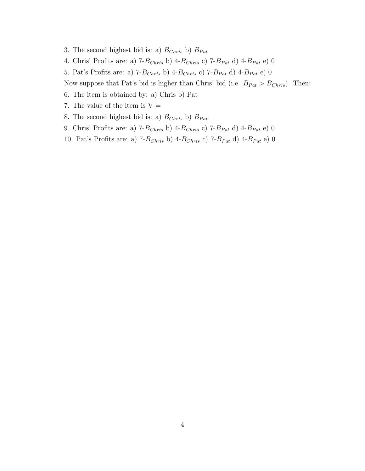- 3. The second highest bid is: a)  $B_{Christ}$  b)  $B_{Pat}$
- 4. Chris' Profits are: a) 7-*BChris* b) 4-*BChris* c) 7-*BP at* d) 4-*BP at* e) 0
- 5. Pat's Profits are: a) 7-*BChris* b) 4-*BChris* c) 7-*BP at* d) 4-*BP at* e) 0

Now suppose that Pat's bid is higher than Chris' bid (i.e.  $B_{Pat} > B_{Christ}$ ). Then:

- 6. The item is obtained by: a) Chris b) Pat
- 7. The value of the item is  $V =$
- 8. The second highest bid is: a)  $B_{Christ}$  b)  $B_{Pat}$
- 9. Chris' Profits are: a)  $7$ *-B<sub>Chris</sub>* b)  $4$ *-B<sub>Chris</sub>* c)  $7$ *-B<sub>Pat</sub>* d)  $4$ *-B<sub>Pat</sub>* e) 0
- 10. Pat's Profits are: a) 7-*BChris* b) 4-*BChris* c) 7-*BP at* d) 4-*BP at* e) 0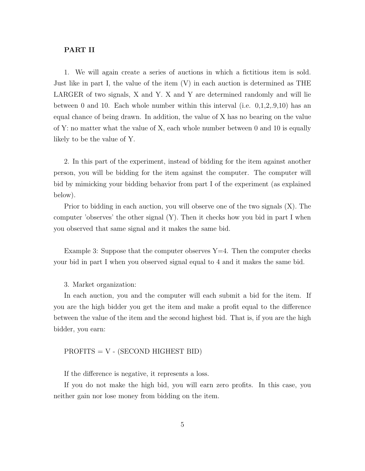# **PART II**

1. We will again create a series of auctions in which a fictitious item is sold. Just like in part I, the value of the item (V) in each auction is determined as THE LARGER of two signals, X and Y. X and Y are determined randomly and will lie between 0 and 10. Each whole number within this interval (i.e. 0,1,2,.9,10) has an equal chance of being drawn. In addition, the value of X has no bearing on the value of Y: no matter what the value of X, each whole number between 0 and 10 is equally likely to be the value of Y.

2. In this part of the experiment, instead of bidding for the item against another person, you will be bidding for the item against the computer. The computer will bid by mimicking your bidding behavior from part I of the experiment (as explained below).

Prior to bidding in each auction, you will observe one of the two signals (X). The computer 'observes' the other signal (Y). Then it checks how you bid in part I when you observed that same signal and it makes the same bid.

Example 3: Suppose that the computer observes  $Y=4$ . Then the computer checks your bid in part I when you observed signal equal to 4 and it makes the same bid.

3. Market organization:

In each auction, you and the computer will each submit a bid for the item. If you are the high bidder you get the item and make a profit equal to the difference between the value of the item and the second highest bid. That is, if you are the high bidder, you earn:

# $PROFITS = V - (SECOND HIGHEST BID)$

If the difference is negative, it represents a loss.

If you do not make the high bid, you will earn zero profits. In this case, you neither gain nor lose money from bidding on the item.